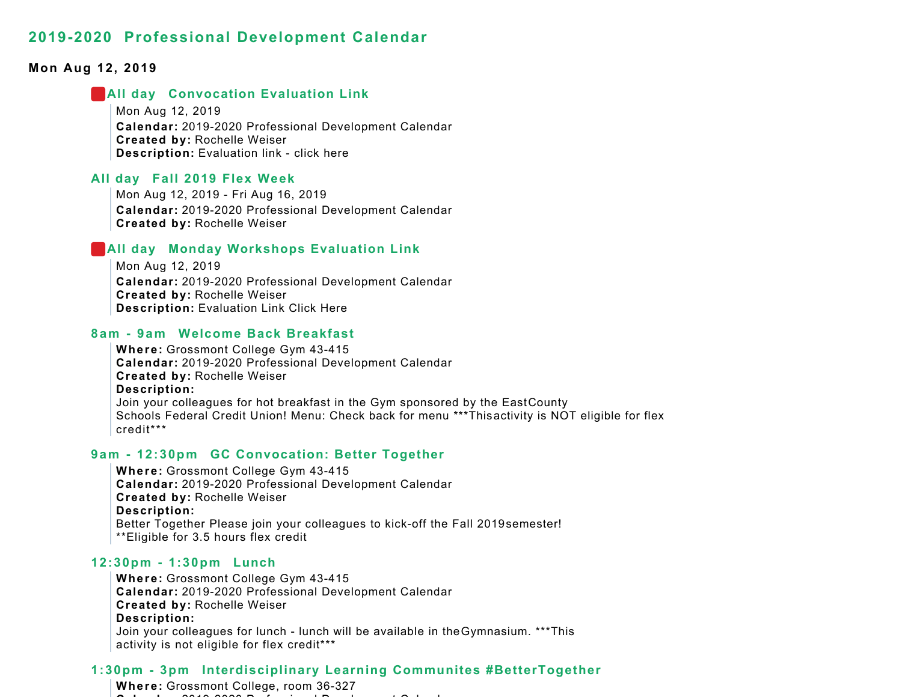### **Mon Aug 12, 2019**

#### **All day Convocation Evaluation Link**

Mon Aug 12, 2019 **Calendar:** 2019-2020 Professional Development Calendar **Created by:** Rochelle Weiser **Description:** Evaluation link - click here

### **All day Fall 2019 Flex Week**

Mon Aug 12, 2019 - Fri Aug 16, 2019 **Calendar:** 2019-2020 Professional Development Calendar **Created by:** Rochelle Weiser

#### **All day Monday Workshops Evaluation Link**

Mon Aug 12, 2019 **Calendar:** 2019-2020 Professional Development Calendar **Created by:** Rochelle Weiser **Description:** Evaluation Link Click Here

#### **8am - 9am Welcome Back Breakfast**

**Where:** Grossmont College Gym 43-415 **Calendar:** 2019-2020 Professional Development Calendar **Created by:** Rochelle Weiser **Description:** Join your colleagues for hot breakfast in the Gym sponsored by the East County Schools Federal Credit Union! Menu: Check back for menu \*\*\*This activity is NOT eligible for flex credit\*\*\*

#### **9am - 12:30pm GC Convocation: Better Together**

**Where:** Grossmont College Gym 43-415 **Calendar:** 2019-2020 Professional Development Calendar **Created by:** Rochelle Weiser **Description:** Better Together Please join your colleagues to kick-off the Fall 2019 semester! \*\*Eligible for 3.5 hours flex credit

#### **12:30pm - 1:30pm Lunch**

**Where:** Grossmont College Gym 43-415 **Calendar:** 2019-2020 Professional Development Calendar **Created by:** Rochelle Weiser **Description:** Join your colleagues for lunch - lunch will be available in theGymnasium. \*\*\*This activity is not eligible for flex credit\*\*\*

## **1:30pm - 3pm Interdisciplinary Learning Communites #BetterTogether**

**Where:** Grossmont College, room 36-327  $\sim$ **l d** 2019 2020 P f i l D l t C l d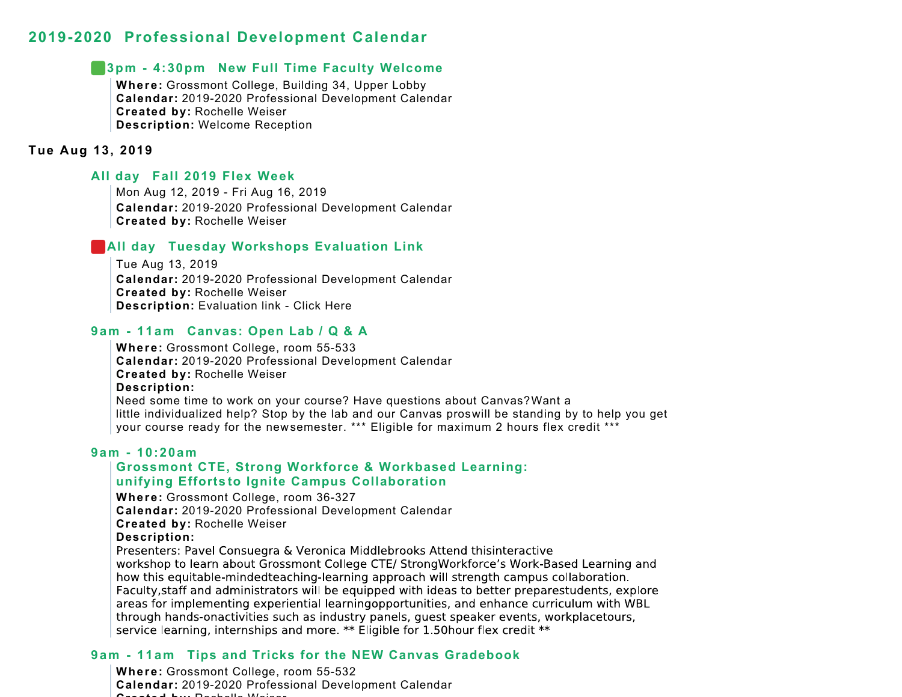## **3pm - 4:30pm New Full Time Faculty Welcome**

**Where:** Grossmont College, Building 34, Upper Lobby **Calendar:** 2019-2020 Professional Development Calendar **Created by:** Rochelle Weiser **Description:** Welcome Reception

## **Tue Aug 13, 2019**

## **All day Fall 2019 Flex Week**

Mon Aug 12, 2019 - Fri Aug 16, 2019 **Calendar:** 2019-2020 Professional Development Calendar **Created by:** Rochelle Weiser

## **All day Tuesday Workshops Evaluation Link**

Tue Aug 13, 2019 **Calendar:** 2019-2020 Professional Development Calendar **Created by:** Rochelle Weiser **Description:** Evaluation link - Click Here

## **9am - 11am Canvas: Open Lab / Q & A**

**Where:** Grossmont College, room 55-533 **Calendar:** 2019-2020 Professional Development Calendar **Created by:** Rochelle Weiser **Description:** Need some time to work on your course? Have questions about Canvas? Want a little individualized help? Stop by the lab and our Canvas pros will be standing by to help you get your course ready for the new semester. \*\*\* Eligible for maximum 2 hours flex credit \*\*\*

#### **9am - 10:20am**

## **Grossmont CTE, Strong Workforce & Workbased Learning: unifying Efforts to Ignite Campus Collaboration**

**Where:** Grossmont College, room 36-327

**Calendar:** 2019-2020 Professional Development Calendar

**Created by:** Rochelle Weiser

#### **Description:**

Presenters: Pavel Consuegra & Veronica Middlebrooks Attend thisinteractive workshop to learn about Grossmont College CTE/ StrongWorkforce's Work-Based Learning and how this equitable-mindedteaching-learning approach will strength campus collaboration. Faculty, staff and administrators will be equipped with ideas to better preparestudents, explore areas for implementing experiential learningopportunities, and enhance curriculum with WBL through hands-onactivities such as industry panels, quest speaker events, workplacetours, service learning, internships and more. \*\* Eligible for 1.50hour flex credit \*\*

## **9am - 11am Tips and Tricks for the NEW Canvas Gradebook**

**Where:** Grossmont College, room 55-532 **Calendar:** 2019-2020 Professional Development Calendar **Createdby:** Rochelle Weiser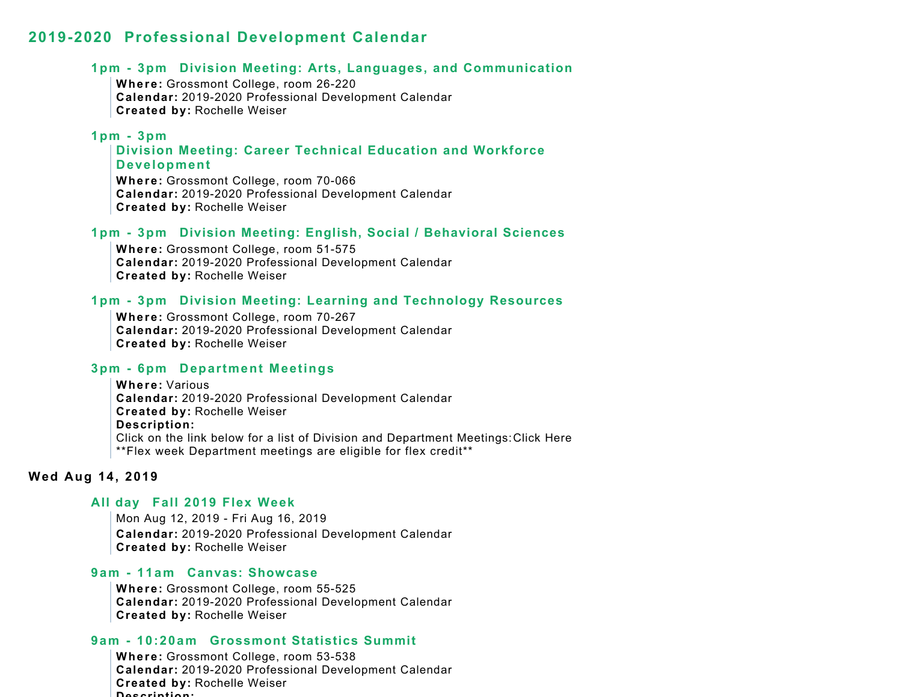#### **1pm - 3pm Division Meeting: Arts, Languages, and Communication**

**Where:** Grossmont College, room 26-220 **Calendar:** 2019-2020 Professional Development Calendar **Created by:** Rochelle Weiser

### **1pm - 3pm**

**Division Meeting: Career Technical Education and Workforce Development**

**Where:** Grossmont College, room 70-066 **Calendar:** 2019-2020 Professional Development Calendar **Created by:** Rochelle Weiser

#### **1pm - 3pm Division Meeting: English, Social / Behavioral Sciences**

**Where:** Grossmont College, room 51-575 **Calendar:** 2019-2020 Professional Development Calendar **Created by:** Rochelle Weiser

## **1pm - 3pm Division Meeting: Learning and Technology Resources**

**Where:** Grossmont College, room 70-267 **Calendar:** 2019-2020 Professional Development Calendar **Created by:** Rochelle Weiser

#### **3pm - 6pm Department Meetings**

**Where:** Various**Calendar:** 2019-2020 Professional Development Calendar **Created by:** Rochelle Weiser **Description:** Click on the link below for a list of Division and Department Meetings: Click Here \*\*Flex week Department meetings are eligible for flex credit\*\*

#### **Wed Aug 14, 2019**

## **All day Fall 2019 Flex Week**

Mon Aug 12, 2019 - Fri Aug 16, 2019 **Calendar:** 2019-2020 Professional Development Calendar **Created by:** Rochelle Weiser

#### **9am - 11am Canvas: Showcase**

**Where:** Grossmont College, room 55-525 **Calendar:** 2019-2020 Professional Development Calendar **Created by:** Rochelle Weiser

#### **9am - 10:20am Grossmont Statistics Summit**

**Where:** Grossmont College, room 53-538 **Calendar:** 2019-2020 Professional Development Calendar **Created by:** Rochelle Weiser **Description:**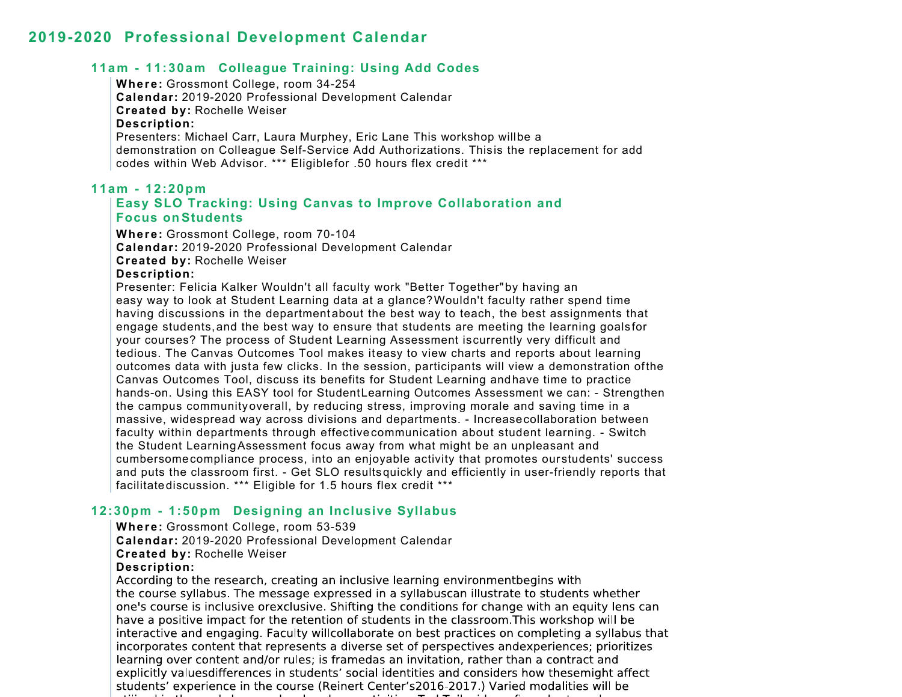## **11am - 11:30am Colleague Training: Using Add Codes**

## **Where:** Grossmont College, room 34-254

**Calendar:** 2019-2020 Professional Development Calendar **Created by:** Rochelle Weiser **Description:** Presenters: Michael Carr, Laura Murphey, Eric Lane This workshop willbe a demonstration on Colleague Self-Service Add Authorizations. This is the replacement for add codes within Web Advisor. \*\*\* Eligiblefor .50 hours flex credit \*\*\*

## **11am - 12:20pm Easy SLO Tracking: Using Canvas to Improve Collaboration and Focus on Students**

**Where:** Grossmont College, room 70-104 **Calendar:** 2019-2020 Professional Development Calendar **Created by:** Rochelle Weiser

## **Description:**

Presenter: Felicia Kalker Wouldn't all faculty work "Better Together" by having an easy way to look at Student Learning data at a glance? Wouldn't faculty rather spend time having discussions in the departmentabout the best way to teach, the best assignments that engage students,and the best way to ensure that students are meeting the learning goals for your courses? The process of Student Learning Assessment is currently very difficult and tedious. The Canvas Outcomes Tool makes iteasy to view charts and reports about learning outcomes data with justa few clicks. In the session, participants will view a demonstration ofthe Canvas Outcomes Tool, discuss its benefits for Student Learning andhave time to practice hands-on. Using this EASY tool for StudentLearning Outcomes Assessment we can: - Strengthen the campus community overall, by reducing stress, improving morale and saving time in a massive, widespread way across divisions and departments. - Increase collaboration between faculty within departments through effective communication about student learning. - Switch the Student LearningAssessment focus away from what might be an unpleasant and cumbersome compliance process, into an enjoyable activity that promotes our students' success and puts the classroom first. - Get SLO results quickly and efficiently in user-friendly reports that facilitatediscussion. \*\*\* Eligible for 1.5 hours flex credit \*\*\*

## **12:30pm - 1:50pm Designing an Inclusive Syllabus**

**Where:** Grossmont College, room 53-539

**Calendar:** 2019-2020 Professional Development Calendar

**Created by:** Rochelle Weiser

#### **Description:**

According to the research, creating an inclusive learning environmentbegins with the course syllabus. The message expressed in a syllabuscan illustrate to students whether one's course is inclusive orexclusive. Shifting the conditions for change with an equity lens can have a positive impact for the retention of students in the classroom. This workshop will be interactive and engaging. Faculty willcollaborate on best practices on completing a syllabus that incorporates content that represents a diverse set of perspectives andexperiences; prioritizes learning over content and/or rules; is framedas an invitation, rather than a contract and explicitly valuesdifferences in students' social identities and considers how thesemight affect students' experience in the course (Reinert Center's2016-2017.) Varied modalities will be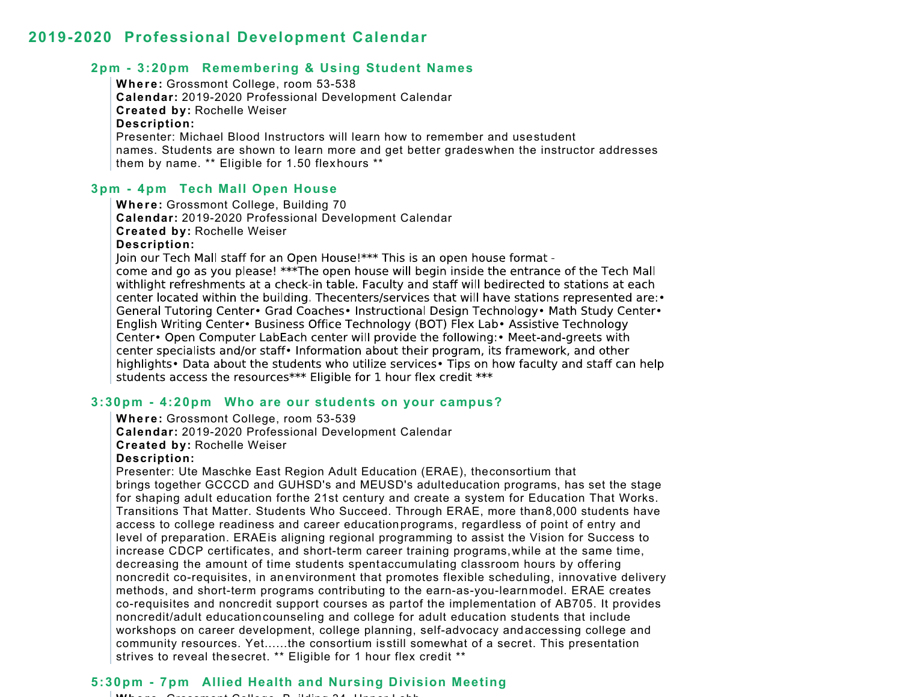## **2pm - 3:20pm Remembering & Using Student Names**

**Where:** Grossmont College, room 53-538 **Calendar:** 2019-2020 Professional Development Calendar **Created by:** Rochelle Weiser **Description:** Presenter: Michael Blood Instructors will learn how to remember and use student names. Students are shown to learn more and get better grades when the instructor addresses them by name. \*\* Eligible for 1.50 flexhours \*\*

#### **3pm - 4pm Tech Mall Open House**

**Where:** Grossmont College, Building 70 **Calendar:** 2019-2020 Professional Development Calendar **Created by:** Rochelle Weiser **Description:**

Join our Tech Mall staff for an Open House!\*\*\* This is an open house format come and go as you please! \*\*\*The open house will begin inside the entrance of the Tech Mall withlight refreshments at a check-in table. Faculty and staff will bedirected to stations at each center located within the building. Thecenters/services that will have stations represented are: • General Tutoring Center• Grad Coaches• Instructional Design Technology• Math Study Center• English Writing Center• Business Office Technology (BOT) Flex Lab• Assistive Technology Center • Open Computer LabEach center will provide the following: • Meet-and-greets with center specialists and/or staff • Information about their program, its framework, and other highlights • Data about the students who utilize services • Tips on how faculty and staff can help students access the resources\*\*\* Eligible for 1 hour flex credit \*\*\*

## **3:30pm - 4:20pm Who are our students on your campus?**

**Where:** Grossmont College, room 53-539

**Calendar:** 2019-2020 Professional Development Calendar

**Created by:** Rochelle Weiser

#### **Description:**

Presenter: Ute Maschke East Region Adult Education (ERAE), the consortium that brings together GCCCD and GUHSD's and MEUSD's adulteducation programs, has set the stage for shaping adult education forthe 21st century and create a system for Education That Works. Transitions That Matter. Students Who Succeed. Through ERAE, more than8,000 students have access to college readiness and career educationprograms, regardless of point of entry and level of preparation. ERAE is aligning regional programming to assist the Vision for Success to increase CDCP certificates, and short-term career training programs, while at the same time, decreasing the amount of time students spentaccumulating classroom hours by offering noncredit co-requisites, in anenvironment that promotes flexible scheduling, innovative delivery methods, and short-term programs contributing to the earn-as-you-learn model. ERAE creates co-requisites and noncredit support courses as partof the implementation of AB705. It provides noncredit/adult education counseling and college for adult education students that include workshops on career development, college planning, self-advocacy andaccessing college and community resources. Yet......the consortium is still somewhat of a secret. This presentation strives to reveal the secret. \*\* Eligible for 1 hour flex credit \*\*

## **5:30pm - 7pm Allied Health and Nursing Division Meeting**

**Where** Grossmont College B ilding 34 Upper Lobb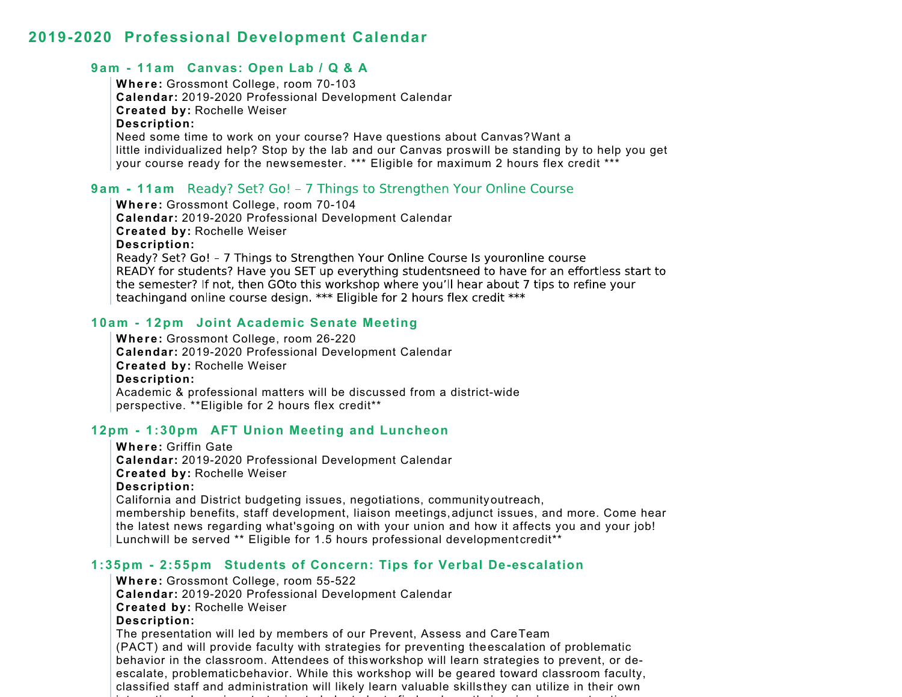## **9am - 11am Canvas: Open Lab / Q & A**

**Where:** Grossmont College, room 70-103 **Calendar:** 2019-2020 Professional Development Calendar **Created by:** Rochelle Weiser **Description:** Need some time to work on your course? Have questions about Canvas? Want a little individualized help? Stop by the lab and our Canvas pros will be standing by to help you get your course ready for the new semester. \*\*\* Eligible for maximum 2 hours flex credit \*\*\*

## **9am - 11am**

**Where:** Grossmont College, room 70-104 **Calendar:** 2019-2020 Professional Development Calendar **Created by:** Rochelle Weiser **Description:** Ready? Set? Go! - 7 Things to Strengthen Your Online Course Is youronline course READY for students? Have you SET up everything studentsneed to have for an effortless start to the semester? If not, then GOto this workshop where you'll hear about 7 tips to refine your teaching and online course design. \*\*\* Eligible for 2 hours flex credit \*\*\*

## **10am - 12pm Joint Academic Senate Meeting**

**Where:** Grossmont College, room 26-220 **Calendar:** 2019-2020 Professional Development Calendar **Created by:** Rochelle Weiser **Description:** Academic & professional matters will be discussed from a district-wide perspective. \*\*Eligible for 2 hours flex credit\*\*

#### **12pm - 1:30pm AFT Union Meeting and Luncheon**

 $t = t$  . The contract of  $\mathbf{r}$ 

**Where:** Griffin Gate**Calendar:** 2019-2020 Professional Development Calendar **Created by:** Rochelle Weiser **Description:** California and District budgeting issues, negotiations, community outreach, membership benefits, staff development, liaison meetings,adjunct issues, and more. Come hear the latest news regarding what's going on with your union and how it affects you and your job! Lunch will be served \*\* Eligible for 1.5 hours professional development credit\*\*

i t t i t h l t d t fi d d th i i i t ti

#### **1:35pm - 2:55pm Students of Concern: Tips for Verbal De-escalation**

**Where:** Grossmont College, room 55-522 **Calendar:** 2019-2020 Professional Development Calendar **Created by:** Rochelle Weiser **Description:** The presentation will led by members of our Prevent, Assess and Care Team (PACT) and will provide faculty with strategies for preventing theescalation of problematic behavior in the classroom. Attendees of this workshop will learn strategies to prevent, or deescalate, problematic behavior. While this workshop will be geared toward classroom faculty, classified staff and administration will likely learn valuable skills they can utilize in their own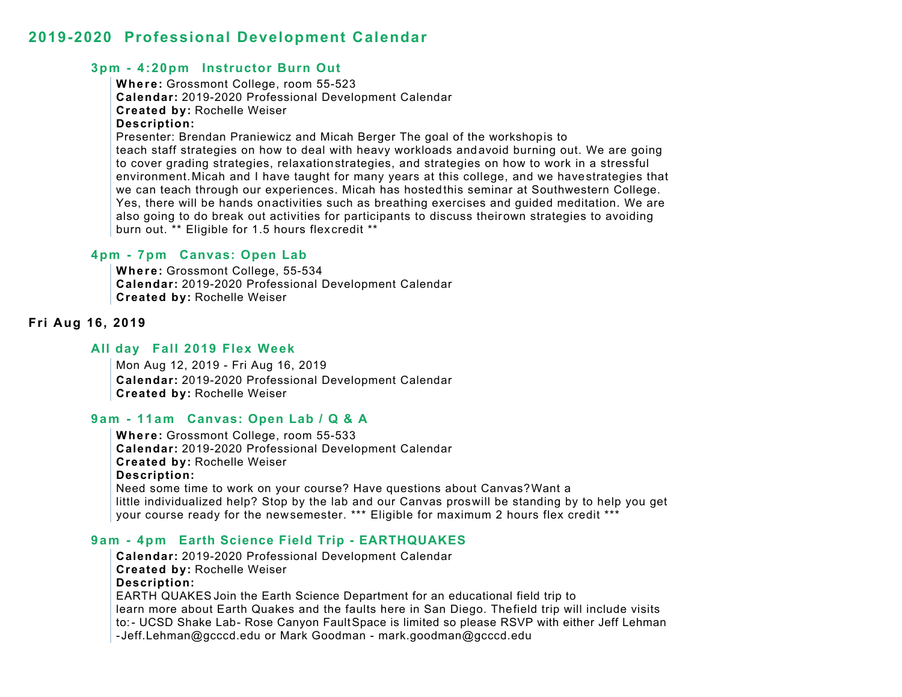## **3pm - 4:20pm Instructor Burn Out**

**Where:** Grossmont College, room 55-523 **Calendar:** 2019-2020 Professional Development Calendar **Created by:** Rochelle Weiser **Description:** Presenter: Brendan Praniewicz and Micah Berger The goal of the workshop is to teach staff strategies on how to deal with heavy workloads andavoid burning out. We are going to cover grading strategies, relaxation strategies, and strategies on how to work in a stressful environment. Micah and I have taught for many years at this college, and we have strategies that we can teach through our experiences. Micah has hostedthis seminar at Southwestern College. Yes, there will be hands onactivities such as breathing exercises and guided meditation. We are also going to do break out activities for participants to discuss their own strategies to avoiding burn out. \*\* Eligible for 1.5 hours flexcredit \*\*

## **4pm - 7pm Canvas: Open Lab**

**Where:** Grossmont College, 55-534 **Calendar:** 2019-2020 Professional Development Calendar **Created by:** Rochelle Weiser

## **Fri Aug 16, 2019**

#### **All day Fall 2019 Flex Week**

Mon Aug 12, 2019 - Fri Aug 16, 2019 **Calendar:** 2019-2020 Professional Development Calendar **Created by:** Rochelle Weiser

## **9am - 11am Canvas: Open Lab / Q & A**

**Where:** Grossmont College, room 55-533 **Calendar:** 2019-2020 Professional Development Calendar **Created by:** Rochelle Weiser **Description:** Need some time to work on your course? Have questions about Canvas? Want a little individualized help? Stop by the lab and our Canvas pros will be standing by to help you get your course ready for the new semester. \*\*\* Eligible for maximum 2 hours flex credit \*\*\*

## **9am - 4pm Earth Science Field Trip - EARTHQUAKES**

**Calendar:** 2019-2020 Professional Development Calendar **Created by:** Rochelle Weiser **Description:** EARTH QUAKES Join the Earth Science Department for an educational field trip to learn more about Earth Quakes and the faults here in San Diego. Thefield trip will include visits to:- UCSD Shake Lab- Rose Canyon FaultSpace is limited so please RSVP with either Jeff Lehman - Jeff.Lehman@gcccd.edu or Mark Goodman - mark.goodman@gcccd.edu